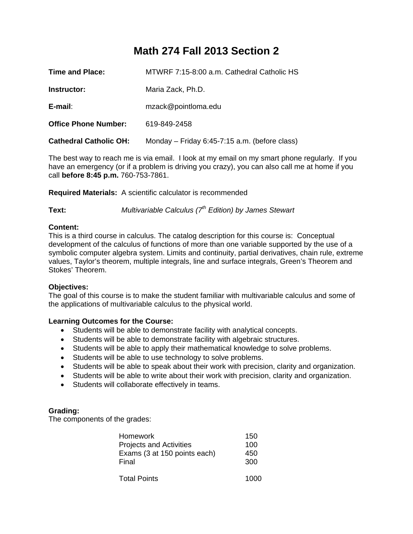# **Math 274 Fall 2013 Section 2**

| Time and Place:               | MTWRF 7:15-8:00 a.m. Cathedral Catholic HS    |
|-------------------------------|-----------------------------------------------|
| Instructor:                   | Maria Zack, Ph.D.                             |
| E-mail:                       | mzack@pointloma.edu                           |
| <b>Office Phone Number:</b>   | 619-849-2458                                  |
| <b>Cathedral Catholic OH:</b> | Monday – Friday 6:45-7:15 a.m. (before class) |

The best way to reach me is via email. I look at my email on my smart phone regularly. If you have an emergency (or if a problem is driving you crazy), you can also call me at home if you call **before 8:45 p.m.** 760-753-7861.

**Required Materials:** A scientific calculator is recommended

**Text:** *Multivariable Calculus (7th Edition) by James Stewart* 

# **Content:**

This is a third course in calculus. The catalog description for this course is: Conceptual development of the calculus of functions of more than one variable supported by the use of a symbolic computer algebra system. Limits and continuity, partial derivatives, chain rule, extreme values, Taylor's theorem, multiple integrals, line and surface integrals, Green's Theorem and Stokes' Theorem.

### **Objectives:**

The goal of this course is to make the student familiar with multivariable calculus and some of the applications of multivariable calculus to the physical world.

### **Learning Outcomes for the Course:**

- Students will be able to demonstrate facility with analytical concepts.
- Students will be able to demonstrate facility with algebraic structures.
- Students will be able to apply their mathematical knowledge to solve problems.
- Students will be able to use technology to solve problems.
- Students will be able to speak about their work with precision, clarity and organization.
- Students will be able to write about their work with precision, clarity and organization.
- Students will collaborate effectively in teams.

# **Grading:**

The components of the grades:

| <b>Homework</b>                       | 150        |
|---------------------------------------|------------|
| <b>Projects and Activities</b>        | 100        |
| Exams (3 at 150 points each)<br>Final | 450<br>300 |
| <b>Total Points</b>                   | 1000       |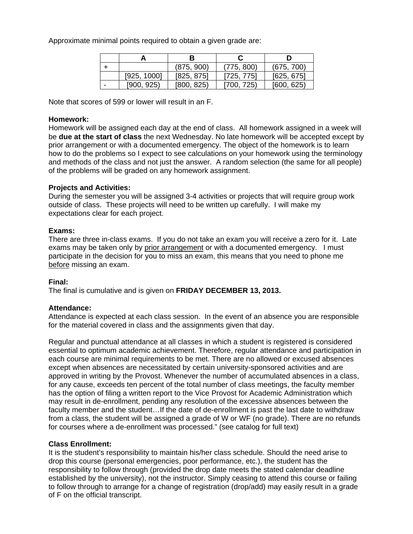Approximate minimal points required to obtain a given grade are:

|   | В           |            |            |            |  |
|---|-------------|------------|------------|------------|--|
|   |             | (875, 900) | (775, 800) | (675, 700) |  |
|   | [925, 1000] | [825, 875] | [725, 775] | [625, 675] |  |
| - | [900, 925]  | [800, 825] | [700, 725) | [600, 625] |  |

Note that scores of 599 or lower will result in an F.

# **Homework:**

Homework will be assigned each day at the end of class. All homework assigned in a week will be **due at the start of class** the next Wednesday. No late homework will be accepted except by prior arrangement or with a documented emergency. The object of the homework is to learn how to do the problems so I expect to see calculations on your homework using the terminology and methods of the class and not just the answer. A random selection (the same for all people) of the problems will be graded on any homework assignment.

# **Projects and Activities:**

During the semester you will be assigned 3-4 activities or projects that will require group work outside of class. These projects will need to be written up carefully. I will make my expectations clear for each project.

# **Exams:**

There are three in-class exams. If you do not take an exam you will receive a zero for it. Late exams may be taken only by prior arrangement or with a documented emergency. I must participate in the decision for you to miss an exam, this means that you need to phone me before missing an exam.

### **Final:**

The final is cumulative and is given on **FRIDAY DECEMBER 13, 2013.** 

# **Attendance:**

Attendance is expected at each class session. In the event of an absence you are responsible for the material covered in class and the assignments given that day.

Regular and punctual attendance at all classes in which a student is registered is considered essential to optimum academic achievement. Therefore, regular attendance and participation in each course are minimal requirements to be met. There are no allowed or excused absences except when absences are necessitated by certain university-sponsored activities and are approved in writing by the Provost. Whenever the number of accumulated absences in a class, for any cause, exceeds ten percent of the total number of class meetings, the faculty member has the option of filing a written report to the Vice Provost for Academic Administration which may result in de-enrollment, pending any resolution of the excessive absences between the faculty member and the student…If the date of de-enrollment is past the last date to withdraw from a class, the student will be assigned a grade of W or WF (no grade). There are no refunds for courses where a de-enrollment was processed." (see catalog for full text)

### **Class Enrollment:**

It is the student's responsibility to maintain his/her class schedule. Should the need arise to drop this course (personal emergencies, poor performance, etc.), the student has the responsibility to follow through (provided the drop date meets the stated calendar deadline established by the university), not the instructor. Simply ceasing to attend this course or failing to follow through to arrange for a change of registration (drop/add) may easily result in a grade of F on the official transcript.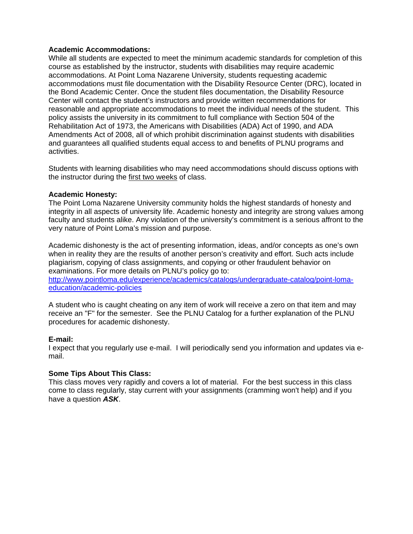# **Academic Accommodations:**

While all students are expected to meet the minimum academic standards for completion of this course as established by the instructor, students with disabilities may require academic accommodations. At Point Loma Nazarene University, students requesting academic accommodations must file documentation with the Disability Resource Center (DRC), located in the Bond Academic Center. Once the student files documentation, the Disability Resource Center will contact the student's instructors and provide written recommendations for reasonable and appropriate accommodations to meet the individual needs of the student. This policy assists the university in its commitment to full compliance with Section 504 of the Rehabilitation Act of 1973, the Americans with Disabilities (ADA) Act of 1990, and ADA Amendments Act of 2008, all of which prohibit discrimination against students with disabilities and guarantees all qualified students equal access to and benefits of PLNU programs and activities.

Students with learning disabilities who may need accommodations should discuss options with the instructor during the first two weeks of class.

# **Academic Honesty:**

The Point Loma Nazarene University community holds the highest standards of honesty and integrity in all aspects of university life. Academic honesty and integrity are strong values among faculty and students alike. Any violation of the university's commitment is a serious affront to the very nature of Point Loma's mission and purpose.

Academic dishonesty is the act of presenting information, ideas, and/or concepts as one's own when in reality they are the results of another person's creativity and effort. Such acts include plagiarism, copying of class assignments, and copying or other fraudulent behavior on examinations. For more details on PLNU's policy go to:

http://www.pointloma.edu/experience/academics/catalogs/undergraduate-catalog/point-lomaeducation/academic-policies

A student who is caught cheating on any item of work will receive a zero on that item and may receive an "F" for the semester. See the PLNU Catalog for a further explanation of the PLNU procedures for academic dishonesty.

### **E-mail:**

I expect that you regularly use e-mail. I will periodically send you information and updates via email.

### **Some Tips About This Class:**

This class moves very rapidly and covers a lot of material. For the best success in this class come to class regularly, stay current with your assignments (cramming won't help) and if you have a question *ASK*.